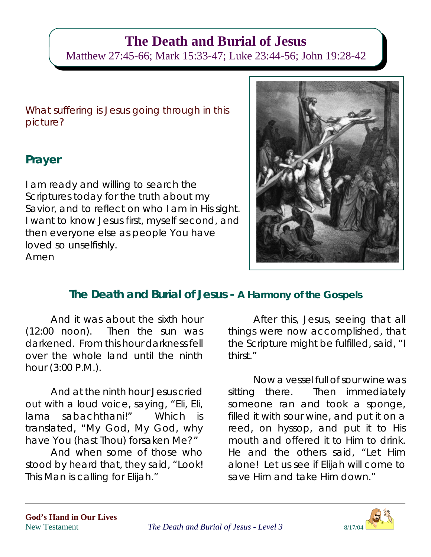# **The Death and Burial of Jesus**

Matthew 27:45-66; Mark 15:33-47; Luke 23:44-56; John 19:28-42

What suffering is Jesus going through in this picture?

# **Prayer**

I am ready and willing to search the Scriptures today for the truth about my Savior, and to reflect on who I am in His sight. I want to know Jesus first, myself second, and then everyone else as people You have loved so unselfishly. Amen



# **The Death and Burial of Jesus - A Harmony of the Gospels**

And it was about the sixth hour (12:00 noon). Then the sun was darkened. From this hour darkness fell over the whole land until the ninth hour (3:00 P.M.).

And at the ninth hour Jesus cried out with a loud voice, saying, "Eli, Eli, lama sabachthani!" Which is translated, "My God, My God, why have You (hast Thou) forsaken Me?"

And when some of those who stood by heard that, they said, "Look! This Man is calling for Elijah."

After this, Jesus, seeing that all things were now accomplished, that the Scripture might be fulfilled, said, "I thirst."

Now a vessel full of sour wine was sitting there. Then immediately someone ran and took a sponge, filled it with sour wine, and put it on a reed, on hyssop, and put it to His mouth and offered it to Him to drink. He and the others said, "Let Him alone! Let us see if Elijah will come to save Him and take Him down."

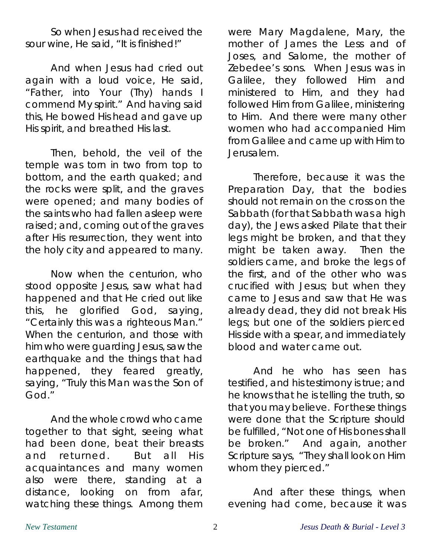So when Jesus had received the sour wine, He said, "It is finished!"

And when Jesus had cried out again with a loud voice, He said, "Father, into Your (Thy) hands I commend My spirit." And having said this, He bowed His head and gave up His spirit, and breathed His last.

Then, behold, the veil of the temple was torn in two from top to bottom, and the earth quaked; and the rocks were split, and the graves were opened; and many bodies of the saints who had fallen asleep were raised; and, coming out of the graves after His resurrection, they went into the holy city and appeared to many.

Now when the centurion, who stood opposite Jesus, saw what had happened and that He cried out like this, he glorified God, saying, "Certainly this was a righteous Man." When the centurion, and those with him who were guarding Jesus, saw the earthquake and the things that had happened, they feared greatly, saying, "Truly this Man was the Son of God."

And the whole crowd who came together to that sight, seeing what had been done, beat their breasts and returned. But all His acquaintances and many women also were there, standing at a distance, looking on from afar, watching these things. Among them

were Mary Magdalene, Mary, the mother of James the Less and of Joses, and Salome, the mother of Zebedee's sons. When Jesus was in Galilee, they followed Him and ministered to Him, and they had followed Him from Galilee, ministering to Him. And there were many other women who had accompanied Him from Galilee and came up with Him to Jerusalem.

Therefore, because it was the Preparation Day, that the bodies should not remain on the cross on the Sabbath (for that Sabbath was a high day), the Jews asked Pilate that their legs might be broken, and that they might be taken away. Then the soldiers came, and broke the legs of the first, and of the other who was crucified with Jesus; but when they came to Jesus and saw that He was already dead, they did not break His legs; but one of the soldiers pierced His side with a spear, and immediately blood and water came out.

And he who has seen has testified, and his testimony is true; and he knows that he is telling the truth, so that you may believe. For these things were done that the Scripture should be fulfilled, "Not one of His bones shall be broken." And again, another Scripture says, "They shall look on Him whom they pierced."

And after these things, when evening had come, because it was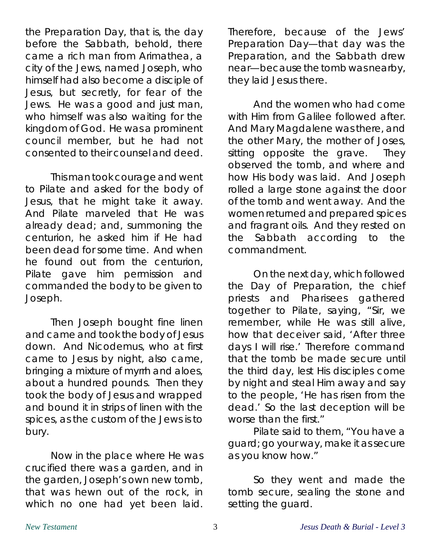the Preparation Day, that is, the day before the Sabbath, behold, there came a rich man from Arimathea, a city of the Jews, named Joseph, who himself had also become a disciple of Jesus, but secretly, for fear of the Jews. He was a good and just man, who himself was also waiting for the kingdom of God. He was a prominent council member, but he had not consented to their counsel and deed.

This man took courage and went to Pilate and asked for the body of Jesus, that he might take it away. And Pilate marveled that He was already dead; and, summoning the centurion, he asked him if He had been dead for some time. And when he found out from the centurion, Pilate gave him permission and commanded the body to be given to Joseph.

Then Joseph bought fine linen and came and took the body of Jesus down. And Nicodemus, who at first came to Jesus by night, also came, bringing a mixture of myrrh and aloes, about a hundred pounds. Then they took the body of Jesus and wrapped and bound it in strips of linen with the spices, as the custom of the Jews is to bury.

Now in the place where He was crucified there was a garden, and in the garden, Joseph's own new tomb, that was hewn out of the rock, in which no one had yet been laid.

Therefore, because of the Jews' Preparation Day—that day was the Preparation, and the Sabbath drew near—because the tomb was nearby, they laid Jesus there.

And the women who had come with Him from Galilee followed after. And Mary Magdalene was there, and the other Mary, the mother of Joses, sitting opposite the grave. They observed the tomb, and where and how His body was laid. And Joseph rolled a large stone against the door of the tomb and went away. And the women returned and prepared spices and fragrant oils. And they rested on the Sabbath according to the commandment.

On the next day, which followed the Day of Preparation, the chief priests and Pharisees gathered together to Pilate, saying, "Sir, we remember, while He was still alive, how that deceiver said, 'After three days I will rise.' Therefore command that the tomb be made secure until the third day, lest His disciples come by night and steal Him away and say to the people, 'He has risen from the dead.' So the last deception will be worse than the first."

Pilate said to them, "You have a guard; go your way, make it as secure as you know how."

So they went and made the tomb secure, sealing the stone and setting the guard.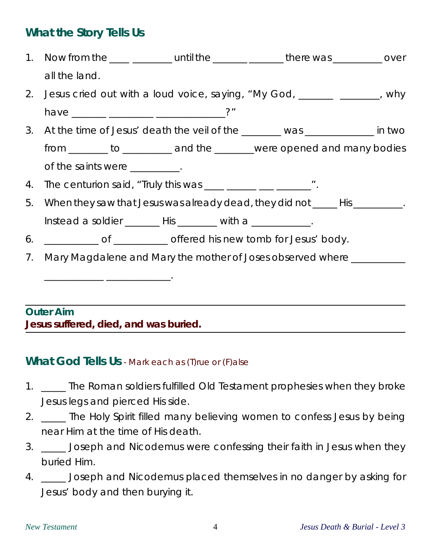## **What the Story Tells Us**

1. Now from the **EXACTE LOCAL LOCAL LOCAL LOCAL LOCAL LOCAL LOCAL LOCAL LOCAL LOCAL LOCAL LOCAL LOCAL LOCAL LOCAL** all the land. 2. Jesus cried out with a loud voice, saying, "My God, \_\_\_\_\_\_\_ \_\_\_\_\_\_\_, why have \_\_\_\_\_\_\_ \_\_\_\_\_\_\_\_\_ \_\_\_\_\_\_\_\_\_\_\_\_\_\_?" 3. At the time of Jesus' death the veil of the \_\_\_\_\_\_\_\_ was \_\_\_\_\_\_\_\_\_\_\_\_\_\_ in two from \_\_\_\_\_\_\_\_ to \_\_\_\_\_\_\_\_\_\_ and the \_\_\_\_\_\_\_\_were opened and many bodies of the saints were \_\_\_\_\_\_\_\_\_\_. 4. The centurion said, "Truly this was \_\_\_\_ \_\_\_\_\_ \_\_\_ \_\_\_\_\_\_\_\_". 5. When they saw that Jesus was already dead, they did not \_\_\_\_\_ His \_\_\_\_\_\_\_\_\_. Instead a soldier \_\_\_\_\_\_\_ His \_\_\_\_\_\_\_ with a \_\_\_\_\_\_\_\_\_\_\_. 6. \_\_\_\_\_\_\_\_\_\_\_ of \_\_\_\_\_\_\_\_\_\_\_ offered his new tomb for Jesus' body. 7. Mary Magdalene and Mary the mother of Joses observed where \_\_\_\_\_\_\_\_\_\_ \_\_\_\_\_\_\_\_\_\_\_\_ \_\_\_\_\_\_\_\_\_\_\_\_\_. **Outer Aim**

**Jesus suffered, died, and was buried.**

### **What God Tells Us** - Mark each as (T)rue or (F)alse

- 1. \_\_\_\_\_ The Roman soldiers fulfilled Old Testament prophesies when they broke Jesus legs and pierced His side.
- 2. \_\_\_\_\_ The Holy Spirit filled many believing women to confess Jesus by being near Him at the time of His death.
- 3. \_\_\_\_\_ Joseph and Nicodemus were confessing their faith in Jesus when they buried Him.
- 4. \_\_\_\_\_ Joseph and Nicodemus placed themselves in no danger by asking for Jesus' body and then burying it.